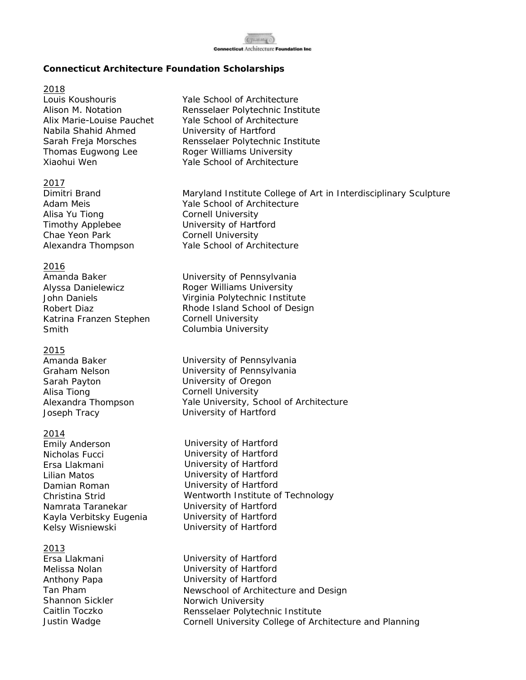

## **Connecticut Architecture Foundation Scholarships**

### 2018

Louis Koushouris Alison M. Notation Alix Marie-Louise Pauchet Nabila Shahid Ahmed Sarah Freja Morsches Thomas Eugwong Lee Xiaohui Wen

### 2017

Dimitri Brand Adam Meis Alisa Yu Tiong Timothy Applebee Chae Yeon Park Alexandra Thompson

## 2016

Amanda Baker Alyssa Danielewicz John Daniels Robert Diaz Katrina Franzen Stephen Smith

## 2015

Amanda Baker Graham Nelson Sarah Payton Alisa Tiong Alexandra Thompson Joseph Tracy

## 2014

Emily Anderson Nicholas Fucci Ersa Llakmani Lilian Matos Damian Roman Christina Strid Namrata Taranekar Kayla Verbitsky Eugenia Kelsy Wisniewski

## 2013

Ersa Llakmani Melissa Nolan Anthony Papa Tan Pham Shannon Sickler Caitlin Toczko Justin Wadge

- Yale School of Architecture Rensselaer Polytechnic Institute Yale School of Architecture University of Hartford Rensselaer Polytechnic Institute Roger Williams University Yale School of Architecture
- Maryland Institute College of Art in Interdisciplinary Sculpture Yale School of Architecture Cornell University University of Hartford Cornell University Yale School of Architecture
- University of Pennsylvania Roger Williams University Virginia Polytechnic Institute Rhode Island School of Design Cornell University Columbia University
- University of Pennsylvania University of Pennsylvania University of Oregon Cornell University Yale University, School of Architecture University of Hartford
- University of Hartford University of Hartford University of Hartford University of Hartford University of Hartford Wentworth Institute of Technology University of Hartford University of Hartford University of Hartford
- University of Hartford University of Hartford University of Hartford Newschool of Architecture and Design Norwich University Rensselaer Polytechnic Institute Cornell University College of Architecture and Planning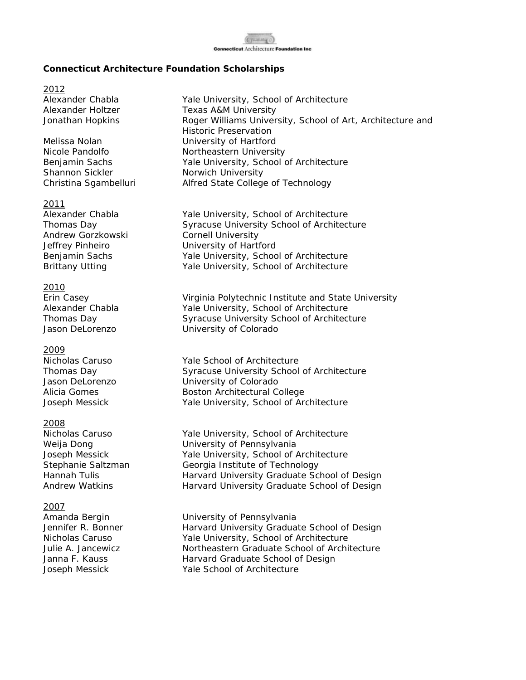

## **Connecticut Architecture Foundation Scholarships**

2012

Shannon Sickler Norwich University

#### 2011

Andrew Gorzkowski Cornell University

#### 2010

#### 2009

#### 2008

#### 2007

Alexander Chabla Yale University, School of Architecture Alexander Holtzer Texas A&M University Jonathan Hopkins **Roger Williams University, School of Art, Architecture and** Historic Preservation Melissa Nolan University of Hartford Nicole Pandolfo Northeastern University Benjamin Sachs Yale University, School of Architecture Christina Sgambelluri Alfred State College of Technology

Alexander Chabla Yale University, School of Architecture Thomas Day Syracuse University School of Architecture Jeffrey Pinheiro **University of Hartford** Benjamin Sachs Yale University, School of Architecture Brittany Utting The Yale University, School of Architecture

Erin Casey Virginia Polytechnic Institute and State University Alexander Chabla Yale University, School of Architecture Thomas Day Syracuse University School of Architecture Jason DeLorenzo University of Colorado

Nicholas Caruso Yale School of Architecture Thomas Day **Syracuse University School of Architecture** Jason DeLorenzo University of Colorado Alicia Gomes Boston Architectural College Joseph Messick Yale University, School of Architecture

Nicholas Caruso Yale University, School of Architecture Weija Dong **University of Pennsylvania** Joseph Messick Yale University, School of Architecture Stephanie Saltzman Georgia Institute of Technology Hannah Tulis **Harvard University Graduate School of Design** Andrew Watkins **Harvard University Graduate School of Design** 

Amanda Bergin University of Pennsylvania Jennifer R. Bonner Harvard University Graduate School of Design Nicholas Caruso Yale University, School of Architecture Julie A. Jancewicz Northeastern Graduate School of Architecture Janna F. Kauss **Harvard Graduate School of Design** Joseph Messick Yale School of Architecture